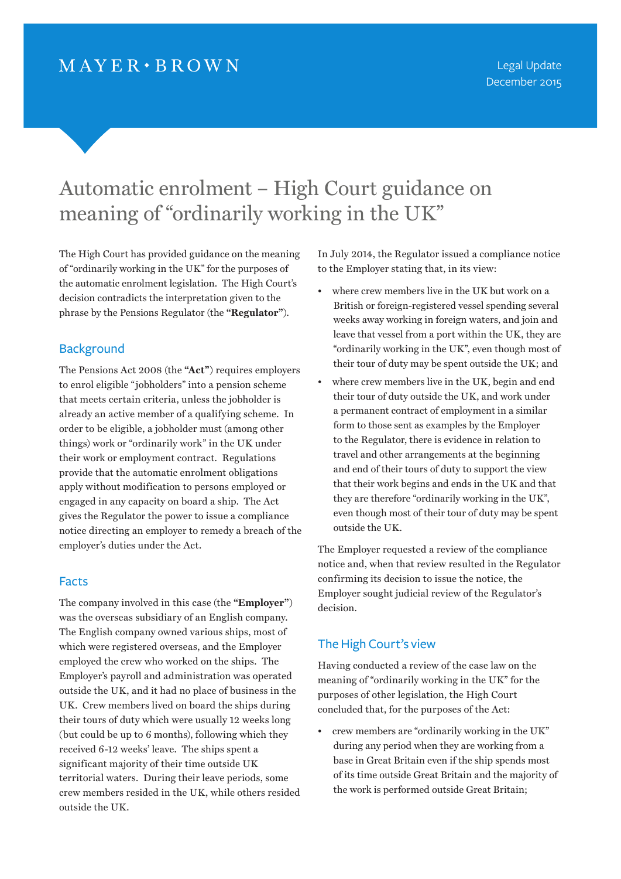# Automatic enrolment – High Court guidance on meaning of "ordinarily working in the UK"

The High Court has provided guidance on the meaning of "ordinarily working in the UK" for the purposes of the automatic enrolment legislation. The High Court's decision contradicts the interpretation given to the phrase by the Pensions Regulator (the **"Regulator"**).

# **Background**

The Pensions Act 2008 (the **"Act"**) requires employers to enrol eligible "jobholders" into a pension scheme that meets certain criteria, unless the jobholder is already an active member of a qualifying scheme. In order to be eligible, a jobholder must (among other things) work or "ordinarily work" in the UK under their work or employment contract. Regulations provide that the automatic enrolment obligations apply without modification to persons employed or engaged in any capacity on board a ship. The Act gives the Regulator the power to issue a compliance notice directing an employer to remedy a breach of the employer's duties under the Act.

## Facts

The company involved in this case (the **"Employer"**) was the overseas subsidiary of an English company. The English company owned various ships, most of which were registered overseas, and the Employer employed the crew who worked on the ships. The Employer's payroll and administration was operated outside the UK, and it had no place of business in the UK. Crew members lived on board the ships during their tours of duty which were usually 12 weeks long (but could be up to 6 months), following which they received 6-12 weeks' leave. The ships spent a significant majority of their time outside UK territorial waters. During their leave periods, some crew members resided in the UK, while others resided outside the UK.

In July 2014, the Regulator issued a compliance notice to the Employer stating that, in its view:

- where crew members live in the UK but work on a British or foreign-registered vessel spending several weeks away working in foreign waters, and join and leave that vessel from a port within the UK, they are "ordinarily working in the UK", even though most of their tour of duty may be spent outside the UK; and
- • where crew members live in the UK, begin and end their tour of duty outside the UK, and work under a permanent contract of employment in a similar form to those sent as examples by the Employer to the Regulator, there is evidence in relation to travel and other arrangements at the beginning and end of their tours of duty to support the view that their work begins and ends in the UK and that they are therefore "ordinarily working in the UK", even though most of their tour of duty may be spent outside the UK.

The Employer requested a review of the compliance notice and, when that review resulted in the Regulator confirming its decision to issue the notice, the Employer sought judicial review of the Regulator's decision.

# The High Court's view

Having conducted a review of the case law on the meaning of "ordinarily working in the UK" for the purposes of other legislation, the High Court concluded that, for the purposes of the Act:

• crew members are "ordinarily working in the UK" during any period when they are working from a base in Great Britain even if the ship spends most of its time outside Great Britain and the majority of the work is performed outside Great Britain;